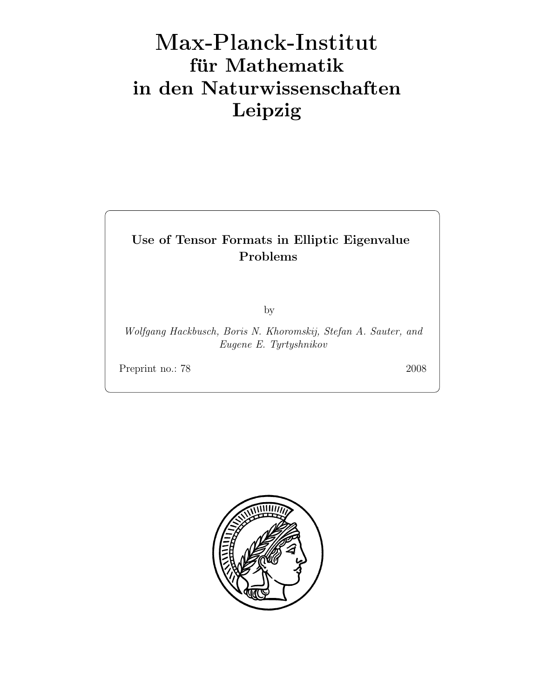# Max-Plan
k-Institut für Mathematik in den Naturwissenschaften Leipzig

# Use of Tensor Formats in Elliptic Eigenvalue Problems

by

Wolfgang Hackbusch, Boris N. Khoromskij, Stefan A. Sauter, and Eugene E. Tyrtyshnikov

Preprint no.: 78 2008

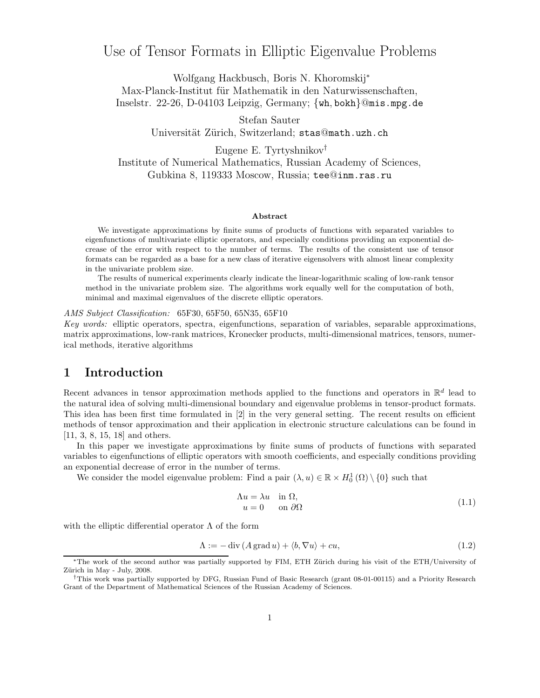# Use of Tensor Formats in Elliptic Eigenvalue Problems

Wolfgang Hackbusch, Boris N. Khoromskij<sup>∗</sup> Max-Planck-Institut für Mathematik in den Naturwissenschaften, Inselstr. 22-26, D-04103 Leipzig, Germany; {wh, bokh}@mis.mpg.de

Stefan Sauter

Universität Zürich, Switzerland; stas@math.uzh.ch

Eugene E. Tyrtyshnikov† Institute of Numerical Mathematics, Russian Academy of Sciences, Gubkina 8, 119333 Moscow, Russia; tee@inm.ras.ru

#### Abstract

We investigate approximations by finite sums of products of functions with separated variables to eigenfunctions of multivariate elliptic operators, and especially conditions providing an exponential decrease of the error with respect to the number of terms. The results of the consistent use of tensor formats can be regarded as a base for a new class of iterative eigensolvers with almost linear complexity in the univariate problem size.

The results of numerical experiments clearly indicate the linear-logarithmic scaling of low-rank tensor method in the univariate problem size. The algorithms work equally well for the computation of both, minimal and maximal eigenvalues of the discrete elliptic operators.

#### AMS Subject Classification: 65F30, 65F50, 65N35, 65F10

Key words: elliptic operators, spectra, eigenfunctions, separation of variables, separable approximations, matrix approximations, low-rank matrices, Kronecker products, multi-dimensional matrices, tensors, numerical methods, iterative algorithms

# 1 Introduction

Recent advances in tensor approximation methods applied to the functions and operators in  $\mathbb{R}^d$  lead to the natural idea of solving multi-dimensional boundary and eigenvalue problems in tensor-product formats. This idea has been first time formulated in [2] in the very general setting. The recent results on efficient methods of tensor approximation and their application in electronic structure calculations can be found in [11, 3, 8, 15, 18] and others.

In this paper we investigate approximations by finite sums of products of functions with separated variables to eigenfunctions of elliptic operators with smooth coefficients, and especially conditions providing an exponential decrease of error in the number of terms.

We consider the model eigenvalue problem: Find a pair  $(\lambda, u) \in \mathbb{R} \times H_0^1(\Omega) \setminus \{0\}$  such that

$$
\begin{aligned}\n\Lambda u &= \lambda u \quad \text{in } \Omega, \\
u &= 0 \quad \text{on } \partial\Omega\n\end{aligned} \tag{1.1}
$$

with the elliptic differential operator  $\Lambda$  of the form

$$
\Lambda := -\operatorname{div}\left(A\operatorname{grad}u\right) + \langle b, \nabla u \rangle + cu,\tag{1.2}
$$

<sup>∗</sup>The work of the second author was partially supported by FIM, ETH Z¨urich during his visit of the ETH/University of Zürich in May - July, 2008.

<sup>†</sup>This work was partially supported by DFG, Russian Fund of Basic Research (grant 08-01-00115) and a Priority Research Grant of the Department of Mathematical Sciences of the Russian Academy of Sciences.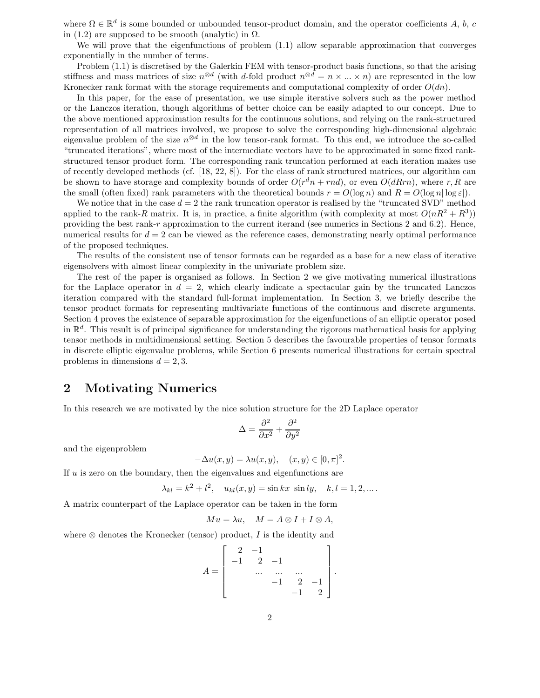where  $\Omega \in \mathbb{R}^d$  is some bounded or unbounded tensor-product domain, and the operator coefficients A, b, c in (1.2) are supposed to be smooth (analytic) in  $\Omega$ .

We will prove that the eigenfunctions of problem (1.1) allow separable approximation that converges exponentially in the number of terms.

Problem (1.1) is discretised by the Galerkin FEM with tensor-product basis functions, so that the arising stiffness and mass matrices of size  $n^{\otimes d}$  (with d-fold product  $n^{\otimes d} = n \times ... \times n$ ) are represented in the low Kronecker rank format with the storage requirements and computational complexity of order  $O(dn)$ .

In this paper, for the ease of presentation, we use simple iterative solvers such as the power method or the Lanczos iteration, though algorithms of better choice can be easily adapted to our concept. Due to the above mentioned approximation results for the continuous solutions, and relying on the rank-structured representation of all matrices involved, we propose to solve the corresponding high-dimensional algebraic eigenvalue problem of the size  $n^{\otimes d}$  in the low tensor-rank format. To this end, we introduce the so-called "truncated iterations", where most of the intermediate vectors have to be approximated in some fixed rankstructured tensor product form. The corresponding rank truncation performed at each iteration makes use of recently developed methods (cf. [18, 22, 8]). For the class of rank structured matrices, our algorithm can be shown to have storage and complexity bounds of order  $O(r^dn + rnd)$ , or even  $O(dRrn)$ , where r, R are the small (often fixed) rank parameters with the theoretical bounds  $r = O(\log n)$  and  $R = O(\log n |\log \varepsilon|)$ .

We notice that in the case  $d = 2$  the rank truncation operator is realised by the "truncated SVD" method applied to the rank-R matrix. It is, in practice, a finite algorithm (with complexity at most  $O(nR^2 + R^3)$ ) providing the best rank-r approximation to the current iterand (see numerics in Sections 2 and 6.2). Hence, numerical results for  $d = 2$  can be viewed as the reference cases, demonstrating nearly optimal performance of the proposed techniques.

The results of the consistent use of tensor formats can be regarded as a base for a new class of iterative eigensolvers with almost linear complexity in the univariate problem size.

The rest of the paper is organised as follows. In Section 2 we give motivating numerical illustrations for the Laplace operator in  $d = 2$ , which clearly indicate a spectacular gain by the truncated Lanczos iteration compared with the standard full-format implementation. In Section 3, we briefly describe the tensor product formats for representing multivariate functions of the continuous and discrete arguments. Section 4 proves the existence of separable approximation for the eigenfunctions of an elliptic operator posed in  $\mathbb{R}^d$ . This result is of principal significance for understanding the rigorous mathematical basis for applying tensor methods in multidimensional setting. Section 5 describes the favourable properties of tensor formats in discrete elliptic eigenvalue problems, while Section 6 presents numerical illustrations for certain spectral problems in dimensions  $d = 2, 3$ .

# 2 Motivating Numerics

In this research we are motivated by the nice solution structure for the 2D Laplace operator

$$
\Delta = \frac{\partial^2}{\partial x^2} + \frac{\partial^2}{\partial y^2}
$$

and the eigenproblem

$$
-\Delta u(x,y) = \lambda u(x,y), \quad (x,y) \in [0,\pi]^2.
$$

If  $u$  is zero on the boundary, then the eigenvalues and eigenfunctions are

$$
\lambda_{kl} = k^2 + l^2
$$
,  $u_{kl}(x, y) = \sin kx \sin ly$ ,  $k, l = 1, 2, ...$ 

A matrix counterpart of the Laplace operator can be taken in the form

$$
Mu = \lambda u, \quad M = A \otimes I + I \otimes A,
$$

where  $\otimes$  denotes the Kronecker (tensor) product, I is the identity and

$$
A = \begin{bmatrix} 2 & -1 & & & \\ -1 & 2 & -1 & & \\ & \cdots & \cdots & \cdots & \\ & & -1 & 2 & -1 \\ & & & -1 & 2 \end{bmatrix}
$$

.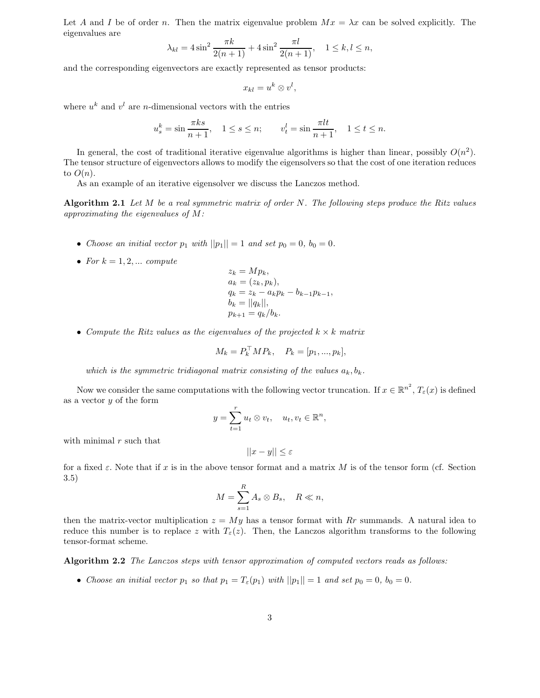Let A and I be of order n. Then the matrix eigenvalue problem  $Mx = \lambda x$  can be solved explicitly. The eigenvalues are

$$
\lambda_{kl} = 4\sin^2\frac{\pi k}{2(n+1)} + 4\sin^2\frac{\pi l}{2(n+1)}, \quad 1 \le k, l \le n,
$$

and the corresponding eigenvectors are exactly represented as tensor products:

$$
x_{kl}=u^k\otimes v^l,
$$

where  $u^k$  and  $v^l$  are *n*-dimensional vectors with the entries

$$
u_s^k = \sin \frac{\pi ks}{n+1}, \quad 1 \le s \le n; \qquad v_t^l = \sin \frac{\pi lt}{n+1}, \quad 1 \le t \le n.
$$

In general, the cost of traditional iterative eigenvalue algorithms is higher than linear, possibly  $O(n^2)$ . The tensor structure of eigenvectors allows to modify the eigensolvers so that the cost of one iteration reduces to  $O(n)$ .

As an example of an iterative eigensolver we discuss the Lanczos method.

Algorithm 2.1 Let  $M$  be a real symmetric matrix of order  $N$ . The following steps produce the Ritz values approximating the eigenvalues of M:

- Choose an initial vector  $p_1$  with  $||p_1|| = 1$  and set  $p_0 = 0$ ,  $b_0 = 0$ .
- For  $k = 1, 2, \ldots$  compute

$$
z_k = Mp_k,
$$
  
\n
$$
a_k = (z_k, p_k),
$$
  
\n
$$
q_k = z_k - a_k p_k - b_{k-1} p_{k-1},
$$
  
\n
$$
b_k = ||q_k||,
$$
  
\n
$$
p_{k+1} = q_k/b_k.
$$

• Compute the Ritz values as the eigenvalues of the projected  $k \times k$  matrix

$$
M_k = P_k^{\top} M P_k, \quad P_k = [p_1, ..., p_k],
$$

which is the symmetric tridiagonal matrix consisting of the values  $a_k, b_k$ .

Now we consider the same computations with the following vector truncation. If  $x \in \mathbb{R}^{n^2}$ ,  $T_{\varepsilon}(x)$  is defined as a vector  $y$  of the form

$$
y = \sum_{t=1}^r u_t \otimes v_t, \quad u_t, v_t \in \mathbb{R}^n,
$$

with minimal  $r$  such that

$$
||x - y|| \le \varepsilon
$$

for a fixed  $\varepsilon$ . Note that if x is in the above tensor format and a matrix M is of the tensor form (cf. Section 3.5)

$$
M = \sum_{s=1}^{R} A_s \otimes B_s, \quad R \ll n,
$$

then the matrix-vector multiplication  $z = My$  has a tensor format with Rr summands. A natural idea to reduce this number is to replace z with  $T_{\varepsilon}(z)$ . Then, the Lanczos algorithm transforms to the following tensor-format scheme.

Algorithm 2.2 The Lanczos steps with tensor approximation of computed vectors reads as follows:

• Choose an initial vector  $p_1$  so that  $p_1 = T_{\varepsilon}(p_1)$  with  $||p_1|| = 1$  and set  $p_0 = 0$ ,  $b_0 = 0$ .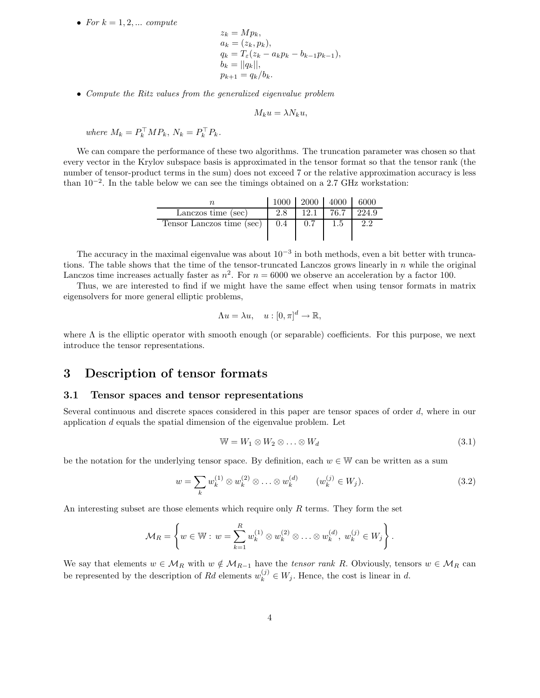• For  $k = 1, 2, \ldots$  compute

$$
z_k = Mp_k,
$$
  
\n
$$
a_k = (z_k, p_k),
$$
  
\n
$$
q_k = T_{\varepsilon}(z_k - a_k p_k - b_{k-1} p_{k-1}),
$$
  
\n
$$
b_k = ||q_k||,
$$
  
\n
$$
p_{k+1} = q_k/b_k.
$$

• Compute the Ritz values from the generalized eigenvalue problem

$$
M_k u = \lambda N_k u,
$$

where  $M_k = P_k^{\dagger} M P_k$ ,  $N_k = P_k^{\dagger} P_k$ .

We can compare the performance of these two algorithms. The truncation parameter was chosen so that every vector in the Krylov subspace basis is approximated in the tensor format so that the tensor rank (the number of tensor-product terms in the sum) does not exceed 7 or the relative approximation accuracy is less than 10−<sup>2</sup> . In the table below we can see the timings obtained on a 2.7 GHz workstation:

|                           |     |      | $1000$   2000   4000 | -6000 |
|---------------------------|-----|------|----------------------|-------|
| Lanczos time (sec)        |     | 12.1 | 76.7                 | 224.9 |
| Tensor Lanczos time (sec) | 0.4 | 0.7  |                      | 2.2   |

The accuracy in the maximal eigenvalue was about  $10^{-3}$  in both methods, even a bit better with truncations. The table shows that the time of the tensor-truncated Lanczos grows linearly in  $n$  while the original Lanczos time increases actually faster as  $n^2$ . For  $n = 6000$  we observe an acceleration by a factor 100.

Thus, we are interested to find if we might have the same effect when using tensor formats in matrix eigensolvers for more general elliptic problems,

$$
\Lambda u = \lambda u, \quad u : [0, \pi]^d \to \mathbb{R},
$$

where  $\Lambda$  is the elliptic operator with smooth enough (or separable) coefficients. For this purpose, we next introduce the tensor representations.

# 3 Description of tensor formats

#### 3.1 Tensor spaces and tensor representations

Several continuous and discrete spaces considered in this paper are tensor spaces of order d, where in our application  $d$  equals the spatial dimension of the eigenvalue problem. Let

$$
\mathbb{W} = W_1 \otimes W_2 \otimes \ldots \otimes W_d \tag{3.1}
$$

be the notation for the underlying tensor space. By definition, each  $w \in \mathbb{W}$  can be written as a sum

$$
w = \sum_{k} w_k^{(1)} \otimes w_k^{(2)} \otimes \ldots \otimes w_k^{(d)} \qquad (w_k^{(j)} \in W_j). \tag{3.2}
$$

An interesting subset are those elements which require only  $R$  terms. They form the set

$$
\mathcal{M}_R = \left\{ w \in \mathbb{W} : w = \sum_{k=1}^R w_k^{(1)} \otimes w_k^{(2)} \otimes \ldots \otimes w_k^{(d)}, w_k^{(j)} \in W_j \right\}.
$$

We say that elements  $w \in M_R$  with  $w \notin M_{R-1}$  have the tensor rank R. Obviously, tensors  $w \in M_R$  can be represented by the description of Rd elements  $w_k^{(j)} \in W_j$ . Hence, the cost is linear in d.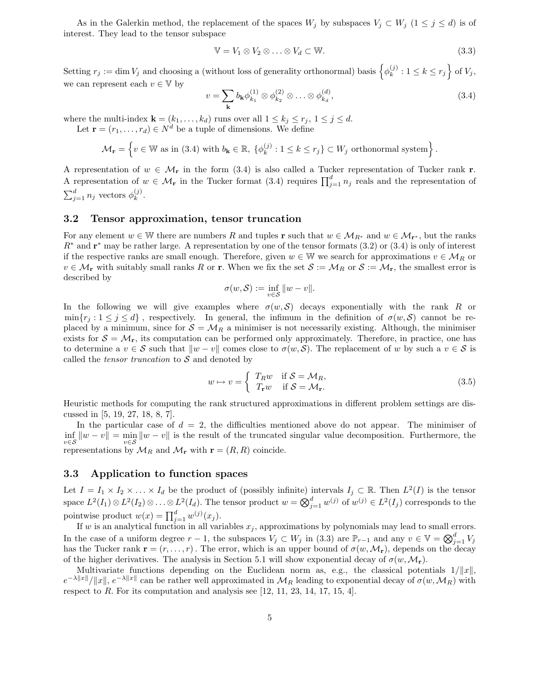As in the Galerkin method, the replacement of the spaces  $W_j$  by subspaces  $V_j \subset W_j$  ( $1 \leq j \leq d$ ) is of interest. They lead to the tensor subspace

$$
\mathbb{V} = V_1 \otimes V_2 \otimes \ldots \otimes V_d \subset \mathbb{W}.
$$
 (3.3)

Setting  $r_j := \dim V_j$  and choosing a (without loss of generality orthonormal) basis  $\{ \phi_k^{(j)} \}$  $k^{(j)}$ :  $1 \leq k \leq r_j$  of  $V_j$ , we can represent each  $v \in V$  by

$$
v = \sum_{\mathbf{k}} b_{\mathbf{k}} \phi_{k_1}^{(1)} \otimes \phi_{k_2}^{(2)} \otimes \ldots \otimes \phi_{k_d}^{(d)},
$$
\n(3.4)

where the multi-index  $\mathbf{k} = (k_1, \ldots, k_d)$  runs over all  $1 \leq k_j \leq r_j, 1 \leq j \leq d$ .

Let  $\mathbf{r} = (r_1, \ldots, r_d) \in N^d$  be a tuple of dimensions. We define

$$
\mathcal{M}_{\mathbf{r}} = \left\{ v \in \mathbb{W} \text{ as in (3.4) with } b_{\mathbf{k}} \in \mathbb{R}, \ \{ \phi_k^{(j)} : 1 \le k \le r_j \} \subset W_j \text{ orthonormal system} \right\}.
$$

A representation of  $w \in \mathcal{M}_r$  in the form (3.4) is also called a Tucker representation of Tucker rank r. A representation of  $w \in \mathcal{M}_r$  in the Tucker format (3.4) requires  $\prod_{j=1}^d n_j$  reals and the representation of  $\sum_{j=1}^d n_j$  vectors  $\phi_k^{(j)}$  $\frac{(J)}{k}$ .

### 3.2 Tensor approximation, tensor truncation

For any element  $w \in \mathbb{W}$  there are numbers R and tuples r such that  $w \in \mathcal{M}_{R^*}$  and  $w \in \mathcal{M}_{R^*}$ , but the ranks  $R^*$  and  $\mathbf{r}^*$  may be rather large. A representation by one of the tensor formats (3.2) or (3.4) is only of interest if the respective ranks are small enough. Therefore, given  $w \in \mathbb{W}$  we search for approximations  $v \in \mathcal{M}_R$  or  $v \in \mathcal{M}_{\mathbf{r}}$  with suitably small ranks R or **r**. When we fix the set  $\mathcal{S} := \mathcal{M}_{R}$  or  $\mathcal{S} := \mathcal{M}_{\mathbf{r}}$ , the smallest error is described by

$$
\sigma(w,\mathcal{S}) := \inf_{v \in \mathcal{S}} \|w - v\|.
$$

In the following we will give examples where  $\sigma(w, S)$  decays exponentially with the rank R or  $\min\{r_i : 1 \leq j \leq d\}$ , respectively. In general, the infimum in the definition of  $\sigma(w, \mathcal{S})$  cannot be replaced by a minimum, since for  $S = M_R$  a minimiser is not necessarily existing. Although, the minimiser exists for  $S = M_r$ , its computation can be performed only approximately. Therefore, in practice, one has to determine a  $v \in \mathcal{S}$  such that  $\|w - v\|$  comes close to  $\sigma(w, \mathcal{S})$ . The replacement of w by such a  $v \in \mathcal{S}$  is called the *tensor truncation* to  $S$  and denoted by

$$
w \mapsto v = \begin{cases} T_R w & \text{if } \mathcal{S} = \mathcal{M}_R, \\ T_\mathbf{r} w & \text{if } \mathcal{S} = \mathcal{M}_\mathbf{r}. \end{cases}
$$
 (3.5)

Heuristic methods for computing the rank structured approximations in different problem settings are discussed in [5, 19, 27, 18, 8, 7].

In the particular case of  $d = 2$ , the difficulties mentioned above do not appear. The minimiser of  $\inf_{v \in S} ||w - v|| = \min_{v \in S} ||w - v||$  is the result of the truncated singular value decomposition. Furthermore, the v∈S<sup>"</sup> v∈S"  $v \in S$ <sup>"</sup>  $M_R$  and  $M_r$  with  $\mathbf{r} = (R, R)$  coincide.

### 3.3 Application to function spaces

Let  $I = I_1 \times I_2 \times \ldots \times I_d$  be the product of (possibly infinite) intervals  $I_j \subset \mathbb{R}$ . Then  $L^2(I)$  is the tensor space  $L^2(I_1)\otimes L^2(I_2)\otimes \ldots \otimes L^2(I_d)$ . The tensor product  $w=\bigotimes_{j=1}^d w^{(j)}$  of  $w^{(j)}\in L^2(I_j)$  corresponds to the pointwise product  $w(x) = \prod_{j=1}^{d} w^{(j)}(x_j)$ .

If w is an analytical function in all variables  $x_j$ , approximations by polynomials may lead to small errors. In the case of a uniform degree  $r-1$ , the subspaces  $V_j \subset W_j$  in (3.3) are  $\mathbb{P}_{r-1}$  and any  $v \in \mathbb{V} = \bigotimes_{j=1}^d V_j$ has the Tucker rank  $\mathbf{r} = (r, \ldots, r)$ . The error, which is an upper bound of  $\sigma(w, \mathcal{M}_r)$ , depends on the decay of the higher derivatives. The analysis in Section 5.1 will show exponential decay of  $\sigma(w, \mathcal{M}_r)$ .

Multivariate functions depending on the Euclidean norm as, e.g., the classical potentials  $1/||x||$ ,  $e^{-\lambda \|x\|}/\|x\|, e^{-\lambda \|x\|}$  can be rather well approximated in  $\mathcal{M}_R$  leading to exponential decay of  $\sigma(w,\mathcal{M}_R)$  with respect to  $R$ . For its computation and analysis see [12, 11, 23, 14, 17, 15, 4].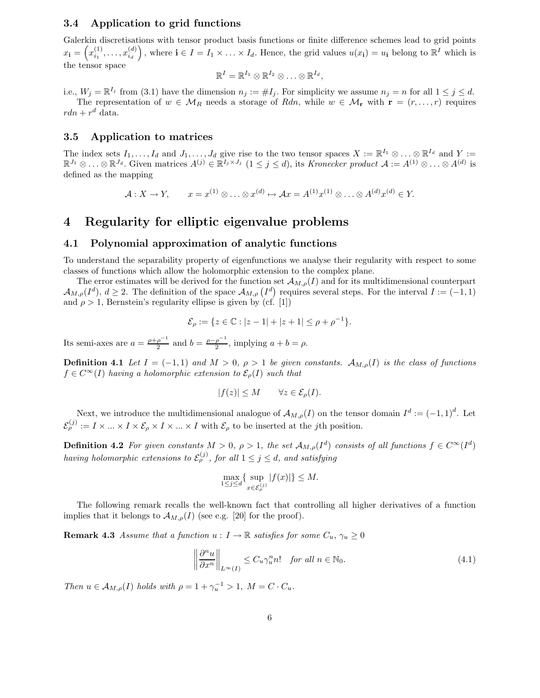### 3.4 Application to grid functions

Galerkin discretisations with tensor product basis functions or finite difference schemes lead to grid points  $x_{\bf i} = \left( x_{i_1}^{(1)} \right)$  $x_{i_1}^{(1)}, \ldots, x_{i_d}^{(d)}$  $i_d$ ), where  $\mathbf{i} \in I = I_1 \times \ldots \times I_d$ . Hence, the grid values  $u(x_i) = u_i$  belong to  $\mathbb{R}^I$  which is the tensor space

$$
\mathbb{R}^I=\mathbb{R}^{I_1}\otimes\mathbb{R}^{I_2}\otimes\ldots\otimes\mathbb{R}^{I_d},
$$

i.e.,  $W_j = \mathbb{R}^{I_j}$  from (3.1) have the dimension  $n_j := \#I_j$ . For simplicity we assume  $n_j = n$  for all  $1 \le j \le d$ . The representation of  $w \in M_R$  needs a storage of Rdn, while  $w \in M_r$  with  $\mathbf{r} = (r, \ldots, r)$  requires  $rdn + r^d$  data.

# 3.5 Application to matrices

The index sets  $I_1, \ldots, I_d$  and  $J_1, \ldots, J_d$  give rise to the two tensor spaces  $X := \mathbb{R}^{I_1} \otimes \ldots \otimes \mathbb{R}^{I_d}$  and  $Y := I$  $\mathbb{R}^{J_1} \otimes \ldots \otimes \mathbb{R}^{J_d}$ . Given matrices  $A^{(j)} \in \mathbb{R}^{I_j \times J_j}$   $(1 \leq j \leq d)$ , its Kronecker product  $\mathcal{A} := A^{(1)} \otimes \ldots \otimes A^{(d)}$  is defined as the mapping

$$
\mathcal{A}: X \to Y, \qquad x = x^{(1)} \otimes \ldots \otimes x^{(d)} \mapsto \mathcal{A}x = A^{(1)}x^{(1)} \otimes \ldots \otimes A^{(d)}x^{(d)} \in Y.
$$

# 4 Regularity for elliptic eigenvalue problems

# 4.1 Polynomial approximation of analytic functions

To understand the separability property of eigenfunctions we analyse their regularity with respect to some classes of functions which allow the holomorphic extension to the complex plane.

The error estimates will be derived for the function set  $\mathcal{A}_{M,\rho}(I)$  and for its multidimensional counterpart  $\mathcal{A}_{M,\rho}(I^d), d \geq 2$ . The definition of the space  $\mathcal{A}_{M,\rho}(I^d)$  requires several steps. For the interval  $I := (-1,1)$ and  $\rho > 1$ , Bernstein's regularity ellipse is given by (cf. [1])

$$
\mathcal{E}_{\rho} := \{ z \in \mathbb{C} : |z - 1| + |z + 1| \le \rho + \rho^{-1} \}.
$$

Its semi-axes are  $a = \frac{\rho + \rho^{-1}}{2}$  $\frac{\rho^{-1}}{2}$  and  $b = \frac{\rho - \rho^{-1}}{2}$  $\frac{\rho}{2}$ , implying  $a + b = \rho$ .

**Definition 4.1** Let  $I = (-1, 1)$  and  $M > 0$ ,  $\rho > 1$  be given constants.  $\mathcal{A}_{M,\rho}(I)$  is the class of functions  $f \in C^{\infty}(I)$  having a holomorphic extension to  $\mathcal{E}_{\rho}(I)$  such that

$$
|f(z)| \le M \qquad \forall z \in \mathcal{E}_{\rho}(I).
$$

Next, we introduce the multidimensional analogue of  $\mathcal{A}_{M,\rho}(I)$  on the tensor domain  $I^d := (-1,1)^d$ . Let  $\mathcal{E}_{\rho}^{(j)} := I \times ... \times I \times \mathcal{E}_{\rho} \times I \times ... \times I$  with  $\mathcal{E}_{\rho}$  to be inserted at the *j*th position.

**Definition 4.2** For given constants  $M > 0$ ,  $\rho > 1$ , the set  $\mathcal{A}_{M,\rho}(I^d)$  consists of all functions  $f \in C^{\infty}(I^d)$ having holomorphic extensions to  $\mathcal{E}_{\rho}^{(j)}$ , for all  $1 \leq j \leq d$ , and satisfying

$$
\max_{1 \le j \le d} \{ \sup_{x \in \mathcal{E}_{\rho}^{(j)}} |f(x)| \} \le M.
$$

The following remark recalls the well-known fact that controlling all higher derivatives of a function implies that it belongs to  $\mathcal{A}_{M,\rho}(I)$  (see e.g. [20] for the proof).

**Remark 4.3** Assume that a function  $u : I \to \mathbb{R}$  satisfies for some  $C_u$ ,  $\gamma_u \geq 0$ 

$$
\left\|\frac{\partial^n u}{\partial x^n}\right\|_{L^\infty(I)} \le C_u \gamma_u^n n! \quad \text{for all } n \in \mathbb{N}_0. \tag{4.1}
$$

Then  $u \in A_{M,\rho}(I)$  holds with  $\rho = 1 + \gamma_u^{-1} > 1$ ,  $M = C \cdot C_u$ .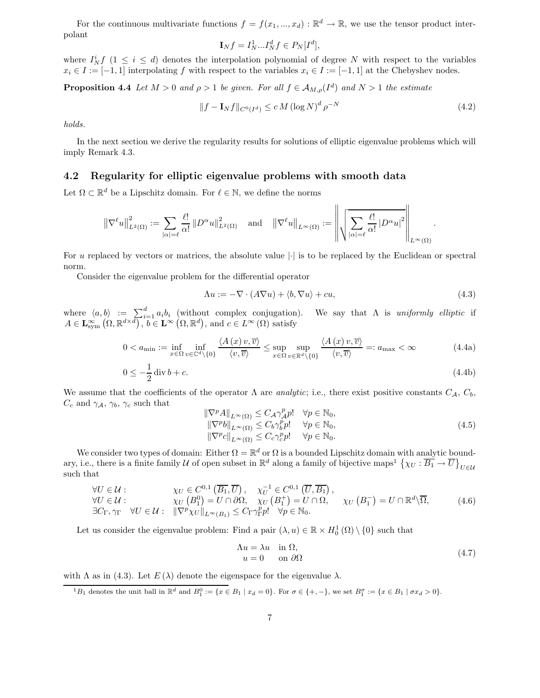For the continuous multivariate functions  $f = f(x_1, ..., x_d) : \mathbb{R}^d \to \mathbb{R}$ , we use the tensor product interpolant

$$
\mathbf{I}_N f = I_N^1...I_N^d f \in P_N[I^d],
$$

where  $I_N^i f$  ( $1 \leq i \leq d$ ) denotes the interpolation polynomial of degree N with respect to the variables  $x_i \in I := [-1,1]$  interpolating f with respect to the variables  $x_i \in I := [-1,1]$  at the Chebyshev nodes.

**Proposition 4.4** Let  $M > 0$  and  $\rho > 1$  be given. For all  $f \in A_{M,\rho}(I^d)$  and  $N > 1$  the estimate

$$
||f - \mathbf{I}_N f||_{C^0(I^d)} \le c M (\log N)^d \rho^{-N}
$$
\n(4.2)

holds.

In the next section we derive the regularity results for solutions of elliptic eigenvalue problems which will imply Remark 4.3.

# 4.2 Regularity for elliptic eigenvalue problems with smooth data

Let  $\Omega \subset \mathbb{R}^d$  be a Lipschitz domain. For  $\ell \in \mathbb{N}$ , we define the norms

$$
\left\|\nabla^{\ell}u\right\|_{L^{2}(\Omega)}^{2}:=\sum_{|\alpha|=\ell}\frac{\ell!}{\alpha!}\left\|D^{\alpha}u\right\|_{L^{2}(\Omega)}^{2}\quad\text{and}\quad\left\|\nabla^{\ell}u\right\|_{L^{\infty}(\Omega)}:=\left\|\sqrt{\sum_{|\alpha|=\ell}\frac{\ell!}{\alpha!}\left|D^{\alpha}u\right|^{2}}\right\|_{L^{\infty}(\Omega)}
$$

For u replaced by vectors or matrices, the absolute value  $|\cdot|$  is to be replaced by the Euclidean or spectral norm.

Consider the eigenvalue problem for the differential operator

$$
\Lambda u := -\nabla \cdot (A\nabla u) + \langle b, \nabla u \rangle + cu,\tag{4.3}
$$

.

where  $\langle a, b \rangle := \sum_{i=1}^d a_i b_i$  (without complex conjugation). We say that  $\Lambda$  is uniformly elliptic if  $A \in \mathbf{L}^{\infty}_{sym}(\Omega, \mathbb{R}^{d \times d})$ ,  $b \in \mathbf{L}^{\infty}(\Omega, \mathbb{R}^{d})$ , and  $c \in L^{\infty}(\Omega)$  satisfy

$$
0 < a_{\min} := \inf_{x \in \Omega} \inf_{v \in \mathbb{C}^d \setminus \{0\}} \frac{\langle A(x)v, \overline{v} \rangle}{\langle v, \overline{v} \rangle} \le \sup_{x \in \Omega} \sup_{v \in \mathbb{R}^d \setminus \{0\}} \frac{\langle A(x)v, \overline{v} \rangle}{\langle v, \overline{v} \rangle} =: a_{\max} < \infty \tag{4.4a}
$$

$$
0 \le -\frac{1}{2} \operatorname{div} b + c. \tag{4.4b}
$$

We assume that the coefficients of the operator  $\Lambda$  are *analytic*; i.e., there exist positive constants  $C_A$ ,  $C_b$ ,  $C_c$  and  $\gamma_A$ ,  $\gamma_b$ ,  $\gamma_c$  such that

$$
\begin{aligned}\n\|\nabla^p A\|_{L^{\infty}(\Omega)} &\le C_A \gamma_A^p p! \quad \forall p \in \mathbb{N}_0, \\
\|\nabla^p b\|_{L^{\infty}(\Omega)} &\le C_b \gamma_b^p p! \quad \forall p \in \mathbb{N}_0, \\
\|\nabla^p c\|_{L^{\infty}(\Omega)} &\le C_c \gamma_c^p p! \quad \forall p \in \mathbb{N}_0.\n\end{aligned} \tag{4.5}
$$

We consider two types of domain: Either  $\Omega = \mathbb{R}^d$  or  $\Omega$  is a bounded Lipschitz domain with analytic boundary, i.e., there is a finite family U of open subset in  $\mathbb{R}^d$  along a family of bijective maps<sup>1</sup>  $\{\chi_U : \overline{B_1} \to \overline{U}\}\$  $U\in\mathcal{U}$ such that

$$
\forall U \in \mathcal{U} : \qquad \chi_U \in C^{0,1}(\overline{B_1}, \overline{U}), \quad \chi_U^{-1} \in C^{0,1}(\overline{U}, \overline{B_1}),
$$
  
\n
$$
\forall U \in \mathcal{U} : \qquad \chi_U (B_1^0) = U \cap \partial \Omega, \quad \chi_U (B_1^+) = U \cap \Omega, \qquad \chi_U (B_1^-) = U \cap \mathbb{R}^d \backslash \overline{\Omega},
$$
  
\n
$$
\exists C_{\Gamma}, \gamma_{\Gamma} \quad \forall U \in \mathcal{U} : \quad \|\nabla^p \chi_U\|_{L^{\infty}(B_1)} \leq C_{\Gamma} \gamma_{\Gamma}^p p! \quad \forall p \in \mathbb{N}_0.
$$
\n(4.6)

Let us consider the eigenvalue problem: Find a pair  $(\lambda, u) \in \mathbb{R} \times H_0^1(\Omega) \setminus \{0\}$  such that

$$
\begin{aligned}\n\Lambda u &= \lambda u \quad \text{in } \Omega, \\
u &= 0 \quad \text{on } \partial\Omega\n\end{aligned} \tag{4.7}
$$

with  $\Lambda$  as in (4.3). Let  $E(\lambda)$  denote the eigenspace for the eigenvalue  $\lambda$ .

 ${}^{1}B_{1}$  denotes the unit ball in  $\mathbb{R}^{d}$  and  $B_{1}^{0} := \{x \in B_{1} \mid x_{d} = 0\}$ . For  $\sigma \in \{+, -\}$ , we set  $B_{1}^{\sigma} := \{x \in B_{1} \mid \sigma x_{d} > 0\}$ .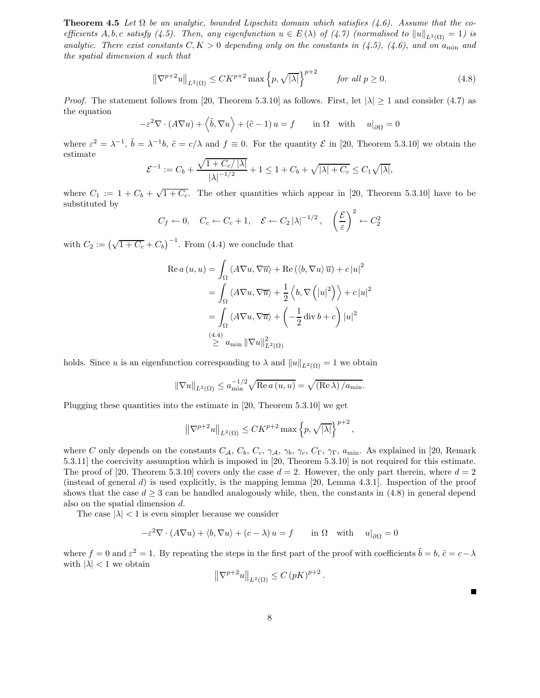**Theorem 4.5** Let  $\Omega$  be an analytic, bounded Lipschitz domain which satisfies (4.6). Assume that the coefficients A, b, c satisfy (4.5). Then, any eigenfunction  $u \in E(\lambda)$  of (4.7) (normalised to  $||u||_{L^2(\Omega)} = 1$ ) is analytic. There exist constants  $C, K > 0$  depending only on the constants in (4.5), (4.6), and on a<sub>min</sub> and the spatial dimension d such that

$$
\left\|\nabla^{p+2}u\right\|_{L^{2}(\Omega)} \leq CK^{p+2}\max\left\{p,\sqrt{|\lambda|}\right\}^{p+2} \quad \text{for all } p \geq 0. \tag{4.8}
$$

*Proof.* The statement follows from [20, Theorem 5.3.10] as follows. First, let  $|\lambda| \ge 1$  and consider (4.7) as the equation

$$
-\varepsilon^2 \nabla \cdot (A \nabla u) + \langle \tilde{b}, \nabla u \rangle + (\tilde{c} - 1) u = f \quad \text{in } \Omega \quad \text{with} \quad u|_{\partial \Omega} = 0
$$

where  $\varepsilon^2 = \lambda^{-1}$ ,  $\tilde{b} = \lambda^{-1}b$ ,  $\tilde{c} = c/\lambda$  and  $f \equiv 0$ . For the quantity  $\mathcal E$  in [20, Theorem 5.3.10] we obtain the estimate

$$
\mathcal{E}^{-1} := C_b + \frac{\sqrt{1 + C_c / |\lambda|}}{|\lambda|^{-1/2}} + 1 \le 1 + C_b + \sqrt{|\lambda| + C_c} \le C_1 \sqrt{|\lambda|},
$$

where  $C_1 := 1 + C_b + \sqrt{1 + C_c}$ . The other quantities which appear in [20, Theorem 5.3.10] have to be substituted by

$$
C_f \leftarrow 0
$$
,  $C_c \leftarrow C_c + 1$ ,  $\mathcal{E} \leftarrow C_2 |\lambda|^{-1/2}$ ,  $\left(\frac{\mathcal{E}}{\varepsilon}\right)^2 \leftarrow C_2^2$ 

with  $C_2 := (\sqrt{1 + C_c} + C_b)^{-1}$ . From (4.4) we conclude that

$$
\operatorname{Re} a (u, u) = \int_{\Omega} \langle A \nabla u, \nabla \overline{u} \rangle + \operatorname{Re} (\langle b, \nabla u \rangle \overline{u}) + c |u|^2
$$
  
= 
$$
\int_{\Omega} \langle A \nabla u, \nabla \overline{u} \rangle + \frac{1}{2} \langle b, \nabla (|u|^2) \rangle + c |u|^2
$$
  
= 
$$
\int_{\Omega} \langle A \nabla u, \nabla \overline{u} \rangle + \left( -\frac{1}{2} \operatorname{div} b + c \right) |u|^2
$$
  

$$
\stackrel{(4.4)}{\geq} a_{\min} ||\nabla u||^2_{L^2(\Omega)}
$$

holds. Since u is an eigenfunction corresponding to  $\lambda$  and  $||u||_{L^2(\Omega)} = 1$  we obtain

$$
\|\nabla u\|_{L^2(\Omega)} \le a_{\min}^{-1/2} \sqrt{\text{Re } a(u, u)} = \sqrt{(\text{Re }\lambda) / a_{\min}}.
$$

Plugging these quantities into the estimate in [20, Theorem 5.3.10] we get

$$
\left\|\nabla^{p+2}u\right\|_{L^2(\Omega)} \leq CK^{p+2}\max\left\{p,\sqrt{|\lambda|}\right\}^{p+2},
$$

where C only depends on the constants  $C_A$ ,  $C_b$ ,  $C_c$ ,  $\gamma_A$ ,  $\gamma_b$ ,  $\gamma_c$ ,  $C_{\Gamma}$ ,  $\gamma_{\Gamma}$ ,  $a_{\min}$ . As explained in [20, Remark] 5.3.11] the coercivity assumption which is imposed in [20, Theorem 5.3.10] is not required for this estimate. The proof of [20, Theorem 5.3.10] covers only the case  $d = 2$ . However, the only part therein, where  $d = 2$ (instead of general  $d$ ) is used explicitly, is the mapping lemma [20, Lemma 4.3.1]. Inspection of the proof shows that the case  $d > 3$  can be handled analogously while, then, the constants in (4.8) in general depend also on the spatial dimension d.

The case  $|\lambda|$  < 1 is even simpler because we consider

$$
-\varepsilon^2 \nabla \cdot (A \nabla u) + \langle b, \nabla u \rangle + (c - \lambda) u = f \quad \text{in } \Omega \text{ with } u|_{\partial \Omega} = 0
$$

where  $f = 0$  and  $\varepsilon^2 = 1$ . By repeating the steps in the first part of the proof with coefficients  $\tilde{b} = b$ ,  $\tilde{c} = c - \lambda$ with  $|\lambda| < 1$  we obtain

$$
\left\|\nabla^{p+2}u\right\|_{L^2(\Omega)} \le C\left(pK\right)^{p+2}.
$$

 $\blacksquare$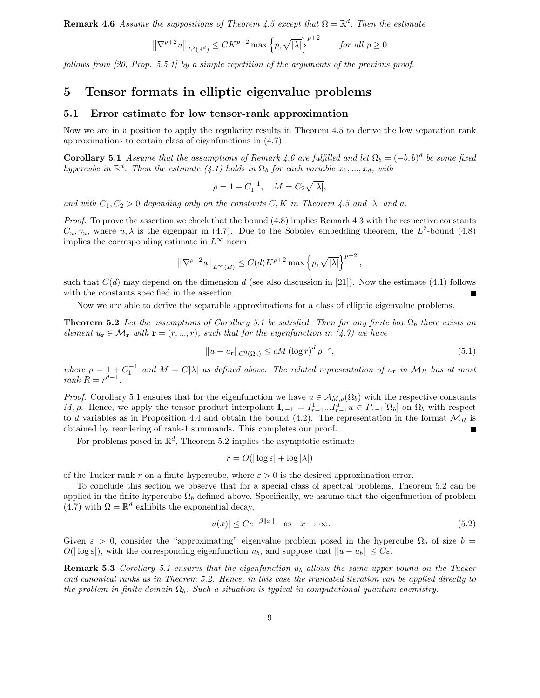**Remark 4.6** Assume the suppositions of Theorem 4.5 except that  $\Omega = \mathbb{R}^d$ . Then the estimate

$$
\left\|\nabla^{p+2}u\right\|_{L^2(\mathbb{R}^d)} \le CK^{p+2}\max\left\{p,\sqrt{|\lambda|}\right\}^{p+2} \quad \text{for all } p \ge 0
$$

follows from [20, Prop. 5.5.1] by a simple repetition of the arguments of the previous proof.

# 5 Tensor formats in elliptic eigenvalue problems

# 5.1 Error estimate for low tensor-rank approximation

Now we are in a position to apply the regularity results in Theorem 4.5 to derive the low separation rank approximations to certain class of eigenfunctions in (4.7).

**Corollary 5.1** Assume that the assumptions of Remark 4.6 are fulfilled and let  $\Omega_b = (-b, b)^d$  be some fixed hypercube in  $\mathbb{R}^d$ . Then the estimate (4.1) holds in  $\Omega_b$  for each variable  $x_1, ..., x_d$ , with

$$
\rho = 1 + C_1^{-1}, \quad M = C_2 \sqrt{|\lambda|},
$$

and with  $C_1, C_2 > 0$  depending only on the constants C, K in Theorem 4.5 and  $|\lambda|$  and a.

*Proof.* To prove the assertion we check that the bound  $(4.8)$  implies Remark 4.3 with the respective constants  $C_u, \gamma_u$ , where  $u, \lambda$  is the eigenpair in (4.7). Due to the Sobolev embedding theorem, the  $L^2$ -bound (4.8) implies the corresponding estimate in  $L^{\infty}$  norm

$$
\left\|\nabla^{p+2}u\right\|_{L^{\infty}(B)} \leq C(d)K^{p+2}\max\left\{p,\sqrt{|\lambda|}\right\}^{p+2},
$$

such that  $C(d)$  may depend on the dimension d (see also discussion in [21]). Now the estimate (4.1) follows with the constants specified in the assertion.

Now we are able to derive the separable approximations for a class of elliptic eigenvalue problems.

**Theorem 5.2** Let the assumptions of Corollary 5.1 be satisfied. Then for any finite box  $\Omega_b$  there exists an element  $u_r \in \mathcal{M}_r$  with  $\mathbf{r} = (r, ..., r)$ , such that for the eigenfunction in (4.7) we have

$$
||u - u_{\mathbf{r}}||_{C^{0}(\Omega_{b})} \le cM (\log r)^{d} \rho^{-r},
$$
\n
$$
(5.1)
$$

where  $\rho = 1 + C_1^{-1}$  and  $M = C|\lambda|$  as defined above. The related representation of  $u_r$  in  $\mathcal{M}_R$  has at most  $rank R = r^{d-1}.$ 

*Proof.* Corollary 5.1 ensures that for the eigenfunction we have  $u \in A_{M,\rho}(\Omega_b)$  with the respective constants M,  $\rho$ . Hence, we apply the tensor product interpolant  $\mathbf{I}_{r-1} = I_{r-1}^1 \dots I_{r-1}^d u \in P_{r-1}[\Omega_b]$  on  $\Omega_b$  with respect to d variables as in Proposition 4.4 and obtain the bound (4.2). The representation in the format  $\mathcal{M}_R$  is obtained by reordering of rank-1 summands. This completes our proof.

For problems posed in  $\mathbb{R}^d$ , Theorem 5.2 implies the asymptotic estimate

$$
r = O(|\log \varepsilon| + \log |\lambda|)
$$

of the Tucker rank r on a finite hypercube, where  $\varepsilon > 0$  is the desired approximation error.

To conclude this section we observe that for a special class of spectral problems, Theorem 5.2 can be applied in the finite hypercube  $\Omega_b$  defined above. Specifically, we assume that the eigenfunction of problem (4.7) with  $\Omega = \mathbb{R}^d$  exhibits the exponential decay,

$$
|u(x)| \le Ce^{-\beta ||x||} \quad \text{as} \quad x \to \infty. \tag{5.2}
$$

Given  $\varepsilon > 0$ , consider the "approximating" eigenvalue problem posed in the hypercube  $\Omega_b$  of size  $b =$  $O(|\log \varepsilon|)$ , with the corresponding eigenfunction  $u_b$ , and suppose that  $||u - u_b|| \leq C \varepsilon$ .

**Remark 5.3** Corollary 5.1 ensures that the eigenfunction  $u<sub>b</sub>$  allows the same upper bound on the Tucker and canonical ranks as in Theorem 5.2. Hence, in this case the truncated iteration can be applied directly to the problem in finite domain  $\Omega_b$ . Such a situation is typical in computational quantum chemistry.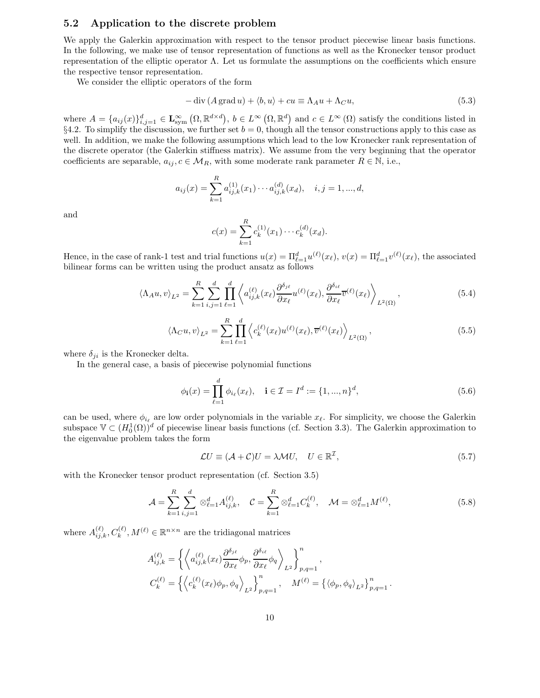# 5.2 Application to the discrete problem

We apply the Galerkin approximation with respect to the tensor product piecewise linear basis functions. In the following, we make use of tensor representation of functions as well as the Kronecker tensor product representation of the elliptic operator Λ. Let us formulate the assumptions on the coefficients which ensure the respective tensor representation.

We consider the elliptic operators of the form

$$
-\operatorname{div}(A\operatorname{grad}u) + \langle b, u \rangle + cu \equiv \Lambda_A u + \Lambda_C u,\tag{5.3}
$$

where  $A = \{a_{ij}(x)\}_{i,j=1}^d \in \mathbf{L}^{\infty}_{sym}(\Omega,\mathbb{R}^{d \times d}), b \in L^{\infty}(\Omega,\mathbb{R}^d)$  and  $c \in L^{\infty}(\Omega)$  satisfy the conditions listed in §4.2. To simplify the discussion, we further set  $b = 0$ , though all the tensor constructions apply to this case as well. In addition, we make the following assumptions which lead to the low Kronecker rank representation of the discrete operator (the Galerkin stiffness matrix). We assume from the very beginning that the operator coefficients are separable,  $a_{ij}, c \in M_R$ , with some moderate rank parameter  $R \in \mathbb{N}$ , i.e.,

$$
a_{ij}(x) = \sum_{k=1}^{R} a_{ij,k}^{(1)}(x_1) \cdots a_{ij,k}^{(d)}(x_d), \quad i, j = 1, ..., d,
$$

and

$$
c(x) = \sum_{k=1}^{R} c_k^{(1)}(x_1) \cdots c_k^{(d)}(x_d).
$$

Hence, in the case of rank-1 test and trial functions  $u(x) = \Pi_{\ell=1}^d u^{(\ell)}(x_\ell), v(x) = \Pi_{\ell=1}^d v^{(\ell)}(x_\ell)$ , the associated bilinear forms can be written using the product ansatz as follows

$$
\langle \Lambda_A u, v \rangle_{L^2} = \sum_{k=1}^R \sum_{i,j=1}^d \prod_{\ell=1}^d \left\langle a_{ij,k}^{(\ell)}(x_\ell) \frac{\partial^{\delta_{j\ell}}}{\partial x_\ell} u^{(\ell)}(x_\ell), \frac{\partial^{\delta_{i\ell}}}{\partial x_\ell} \overline{v}^{(\ell)}(x_\ell) \right\rangle_{L^2(\Omega)}, \tag{5.4}
$$

$$
\langle \Lambda_C u, v \rangle_{L^2} = \sum_{k=1}^R \prod_{\ell=1}^d \left\langle c_k^{(\ell)}(x_\ell) u^{(\ell)}(x_\ell), \overline{v}^{(\ell)}(x_\ell) \right\rangle_{L^2(\Omega)},\tag{5.5}
$$

where  $\delta_{ji}$  is the Kronecker delta.

In the general case, a basis of piecewise polynomial functions

$$
\phi_{\mathbf{i}}(x) = \prod_{\ell=1}^{d} \phi_{i_{\ell}}(x_{\ell}), \quad \mathbf{i} \in \mathcal{I} = I^{d} := \{1, ..., n\}^{d}, \tag{5.6}
$$

can be used, where  $\phi_{i_\ell}$  are low order polynomials in the variable  $x_\ell$ . For simplicity, we choose the Galerkin subspace  $\mathbb{V} \subset (H_0^1(\Omega))^d$  of piecewise linear basis functions (cf. Section 3.3). The Galerkin approximation to the eigenvalue problem takes the form

$$
\mathcal{L}U \equiv (\mathcal{A} + \mathcal{C})U = \lambda \mathcal{M}U, \quad U \in \mathbb{R}^{\mathcal{I}}, \tag{5.7}
$$

with the Kronecker tensor product representation (cf. Section 3.5)

$$
\mathcal{A} = \sum_{k=1}^{R} \sum_{i,j=1}^{d} \otimes_{\ell=1}^{d} A_{ij,k}^{(\ell)}, \quad \mathcal{C} = \sum_{k=1}^{R} \otimes_{\ell=1}^{d} C_{k}^{(\ell)}, \quad \mathcal{M} = \otimes_{\ell=1}^{d} M^{(\ell)},
$$
(5.8)

where  $A_{ij,k}^{(\ell)}, C_k^{(\ell)}, M^{(\ell)} \in \mathbb{R}^{n \times n}$  are the tridiagonal matrices

$$
A_{ij,k}^{(\ell)} = \left\{ \left\langle a_{ij,k}^{(\ell)}(x_{\ell}) \frac{\partial^{\delta_{j\ell}}}{\partial x_{\ell}} \phi_p, \frac{\partial^{\delta_{i\ell}}}{\partial x_{\ell}} \phi_q \right\rangle_{L^2} \right\}_{p,q=1}^n,
$$
  

$$
C_k^{(\ell)} = \left\{ \left\langle c_k^{(\ell)}(x_{\ell}) \phi_p, \phi_q \right\rangle_{L^2} \right\}_{p,q=1}^n, \quad M^{(\ell)} = \left\{ \left\langle \phi_p, \phi_q \right\rangle_{L^2} \right\}_{p,q=1}^n.
$$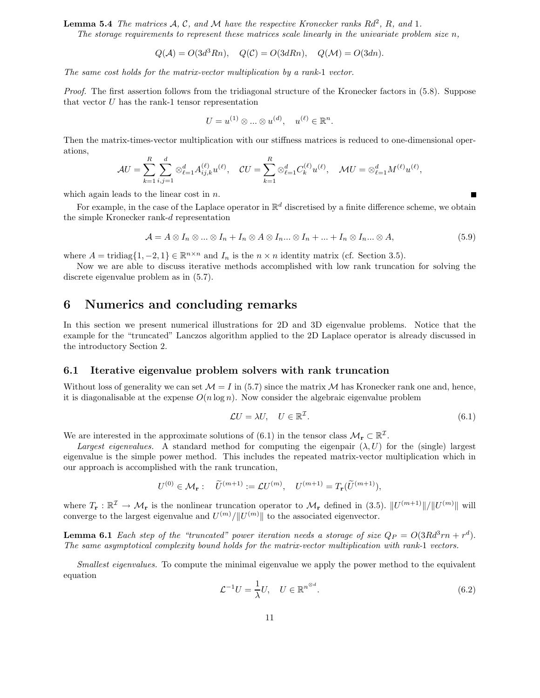**Lemma 5.4** The matrices  $\mathcal{A}, \mathcal{C},$  and  $\mathcal{M}$  have the respective Kronecker ranks  $Rd^2$ ,  $R$ , and 1.

The storage requirements to represent these matrices scale linearly in the univariate problem size  $n$ ,

$$
Q(\mathcal{A}) = O(3d^3Rn), \quad Q(\mathcal{C}) = O(3dRn), \quad Q(\mathcal{M}) = O(3dn).
$$

The same cost holds for the matrix-vector multiplication by a rank-1 vector.

Proof. The first assertion follows from the tridiagonal structure of the Kronecker factors in (5.8). Suppose that vector  $U$  has the rank-1 tensor representation

$$
U = u^{(1)} \otimes \ldots \otimes u^{(d)}, \quad u^{(\ell)} \in \mathbb{R}^n.
$$

Then the matrix-times-vector multiplication with our stiffness matrices is reduced to one-dimensional operations,

$$
\mathcal{A}U = \sum_{k=1}^{R} \sum_{i,j=1}^{d} \otimes_{\ell=1}^{d} A_{ij,k}^{(\ell)} u^{(\ell)}, \quad \mathcal{C}U = \sum_{k=1}^{R} \otimes_{\ell=1}^{d} C_{k}^{(\ell)} u^{(\ell)}, \quad \mathcal{M}U = \otimes_{\ell=1}^{d} M^{(\ell)} u^{(\ell)},
$$

which again leads to the linear cost in  $n$ .

For example, in the case of the Laplace operator in  $\mathbb{R}^d$  discretised by a finite difference scheme, we obtain the simple Kronecker rank-d representation

$$
\mathcal{A} = A \otimes I_n \otimes \ldots \otimes I_n + I_n \otimes A \otimes I_n \ldots \otimes I_n + \ldots + I_n \otimes I_n \ldots \otimes A,
$$
(5.9)

where  $A = \text{tridiag}\{1, -2, 1\} \in \mathbb{R}^{n \times n}$  and  $I_n$  is the  $n \times n$  identity matrix (cf. Section 3.5).

Now we are able to discuss iterative methods accomplished with low rank truncation for solving the discrete eigenvalue problem as in (5.7).

# 6 Numerics and concluding remarks

In this section we present numerical illustrations for 2D and 3D eigenvalue problems. Notice that the example for the "truncated" Lanczos algorithm applied to the 2D Laplace operator is already discussed in the introductory Section 2.

# 6.1 Iterative eigenvalue problem solvers with rank truncation

Without loss of generality we can set  $\mathcal{M} = I$  in (5.7) since the matrix  $\mathcal{M}$  has Kronecker rank one and, hence, it is diagonalisable at the expense  $O(n \log n)$ . Now consider the algebraic eigenvalue problem

$$
\mathcal{L}U = \lambda U, \quad U \in \mathbb{R}^{\mathcal{I}}.
$$
\n
$$
(6.1)
$$

Е

We are interested in the approximate solutions of (6.1) in the tensor class  $\mathcal{M}_{r} \subset \mathbb{R}^{T}$ .

Largest eigenvalues. A standard method for computing the eigenpair  $(\lambda, U)$  for the (single) largest eigenvalue is the simple power method. This includes the repeated matrix-vector multiplication which in our approach is accomplished with the rank truncation,

$$
U^{(0)} \in \mathcal{M}_{\mathbf{r}}: \quad \widetilde{U}^{(m+1)} := \mathcal{L}U^{(m)}, \quad U^{(m+1)} = T_{\mathbf{r}}(\widetilde{U}^{(m+1)}),
$$

where  $T_{\mathbf{r}} : \mathbb{R}^{\mathcal{I}} \to \mathcal{M}_{\mathbf{r}}$  is the nonlinear truncation operator to  $\mathcal{M}_{\mathbf{r}}$  defined in (3.5).  $||U^{(m+1)}||/||U^{(m)}||$  will converge to the largest eigenvalue and  $U^{(m)}/||U^{(m)}||$  to the associated eigenvector.

**Lemma 6.1** Each step of the "truncated" power iteration needs a storage of size  $Q_P = O(3Rd^3rn + r^d)$ . The same asymptotical complexity bound holds for the matrix-vector multiplication with rank-1 vectors.

Smallest eigenvalues. To compute the minimal eigenvalue we apply the power method to the equivalent equation

$$
\mathcal{L}^{-1}U = \frac{1}{\lambda}U, \quad U \in \mathbb{R}^{n^{\otimes d}}.\tag{6.2}
$$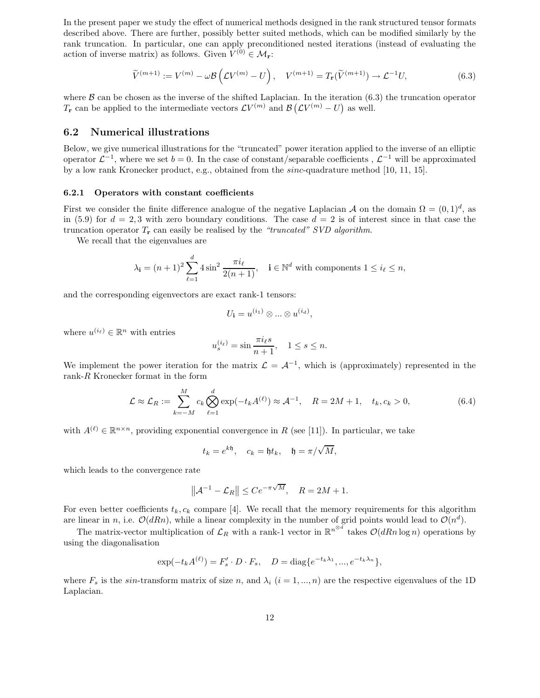In the present paper we study the effect of numerical methods designed in the rank structured tensor formats described above. There are further, possibly better suited methods, which can be modified similarly by the rank truncation. In particular, one can apply preconditioned nested iterations (instead of evaluating the action of inverse matrix) as follows. Given  $V^{(0)} \in \mathcal{M}_{\mathbf{r}}$ :

$$
\widetilde{V}^{(m+1)} := V^{(m)} - \omega \mathcal{B} \left( \mathcal{L} V^{(m)} - U \right), \quad V^{(m+1)} = T_{\mathbf{r}}(\widetilde{V}^{(m+1)}) \to \mathcal{L}^{-1} U,
$$
\n(6.3)

where  $\beta$  can be chosen as the inverse of the shifted Laplacian. In the iteration (6.3) the truncation operator  $T_r$  can be applied to the intermediate vectors  $\mathcal{L}V^{(m)}$  and  $\mathcal{B}(\mathcal{L}V^{(m)} - U)$  as well.

#### 6.2 Numerical illustrations

Below, we give numerical illustrations for the "truncated" power iteration applied to the inverse of an elliptic operator  $\mathcal{L}^{-1}$ , where we set  $b = 0$ . In the case of constant/separable coefficients ,  $\mathcal{L}^{-1}$  will be approximated by a low rank Kronecker product, e.g., obtained from the sinc-quadrature method [10, 11, 15].

#### 6.2.1 Operators with constant coefficients

First we consider the finite difference analogue of the negative Laplacian A on the domain  $\Omega = (0, 1)^d$ , as in (5.9) for  $d = 2, 3$  with zero boundary conditions. The case  $d = 2$  is of interest since in that case the truncation operator  $T_r$  can easily be realised by the "truncated" SVD algorithm.

We recall that the eigenvalues are

$$
\lambda_{\mathbf{i}} = (n+1)^2 \sum_{\ell=1}^d 4 \sin^2 \frac{\pi i_\ell}{2(n+1)}, \quad \mathbf{i} \in \mathbb{N}^d \text{ with components } 1 \le i_\ell \le n,
$$

and the corresponding eigenvectors are exact rank-1 tensors:

$$
U_{\mathbf{i}} = u^{(i_1)} \otimes \ldots \otimes u^{(i_d)},
$$

where  $u^{(i_\ell)} \in \mathbb{R}^n$  with entries

$$
u_s^{(i_\ell)} = \sin \frac{\pi i_\ell s}{n+1}, \quad 1 \le s \le n.
$$

We implement the power iteration for the matrix  $\mathcal{L} = \mathcal{A}^{-1}$ , which is (approximately) represented in the rank-R Kronecker format in the form

$$
\mathcal{L} \approx \mathcal{L}_R := \sum_{k=-M}^{M} c_k \bigotimes_{\ell=1}^d \exp(-t_k A^{(\ell)}) \approx A^{-1}, \quad R = 2M + 1, \quad t_k, c_k > 0,
$$
\n(6.4)

with  $A^{(\ell)} \in \mathbb{R}^{n \times n}$ , providing exponential convergence in R (see [11]). In particular, we take

$$
t_k = e^{k\mathfrak{h}}, \quad c_k = \mathfrak{h}t_k, \quad \mathfrak{h} = \pi/\sqrt{M},
$$

which leads to the convergence rate

$$
\left\| \mathcal{A}^{-1} - \mathcal{L}_R \right\| \leq C e^{-\pi \sqrt{M}}, \quad R = 2M+1.
$$

For even better coefficients  $t_k, c_k$  compare [4]. We recall that the memory requirements for this algorithm are linear in n, i.e.  $\mathcal{O}(dRn)$ , while a linear complexity in the number of grid points would lead to  $\mathcal{O}(n^d)$ .

The matrix-vector multiplication of  $\mathcal{L}_R$  with a rank-1 vector in  $\mathbb{R}^{n^{\otimes d}}$  takes  $\mathcal{O}(dRn \log n)$  operations by using the diagonalisation

$$
\exp(-t_k A^{(\ell)}) = F'_s \cdot D \cdot F_s, \quad D = \text{diag}\{e^{-t_k \lambda_1}, ..., e^{-t_k \lambda_n}\},
$$

where  $F_s$  is the sin-transform matrix of size n, and  $\lambda_i$   $(i = 1, ..., n)$  are the respective eigenvalues of the 1D Laplacian.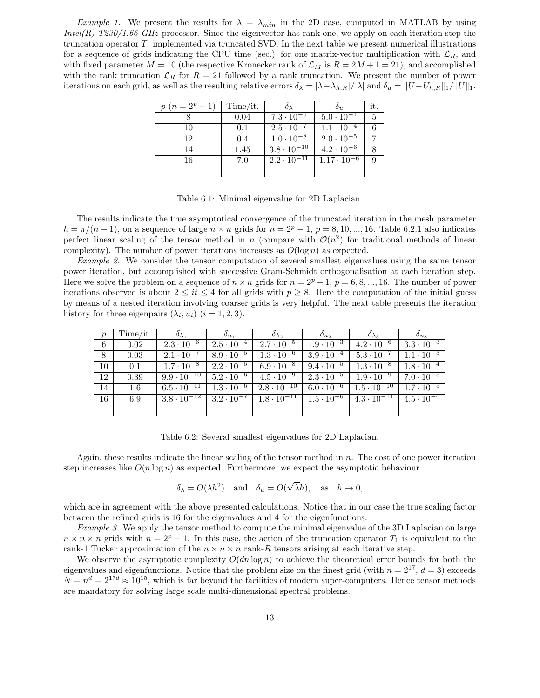*Example 1.* We present the results for  $\lambda = \lambda_{min}$  in the 2D case, computed in MATLAB by using  $Intel(R)$  T230/1.66 GHz processor. Since the eigenvector has rank one, we apply on each iteration step the truncation operator  $T_1$  implemented via truncated SVD. In the next table we present numerical illustrations for a sequence of grids indicating the CPU time (sec.) for one matrix-vector multiplication with  $\mathcal{L}_R$ , and with fixed parameter  $M = 10$  (the respective Kronecker rank of  $\mathcal{L}_M$  is  $R = 2M + 1 = 21$ ), and accomplished with the rank truncation  $\mathcal{L}_R$  for  $R = 21$  followed by a rank truncation. We present the number of power iterations on each grid, as well as the resulting relative errors  $\delta_{\lambda} = |\lambda - \lambda_{h,R}|/|\lambda|$  and  $\delta_u = ||U - U_{h,R}||_1/||U||_1$ .

| $p(n=2^p-1)$ | Time/it. |                      | $\mathcal{O}_{21}$   | it. |
|--------------|----------|----------------------|----------------------|-----|
|              | 0.04     | $7.3 \cdot 10^{-6}$  | $5.0 \cdot 10^{-4}$  |     |
| 10           | 0.1      | $2.5 \cdot 10^{-7}$  | $1.1 \cdot 10^{-4}$  |     |
| 19           | 0.4      | $1.0 \cdot 10^{-8}$  | $2.0 \cdot 10^{-5}$  |     |
|              | 1.45     | $3.8 \cdot 10^{-10}$ | $4.2 \cdot 10^{-6}$  |     |
| 16           | 7.0      | $2.2 \cdot 10^{-11}$ | $1.17 \cdot 10^{-6}$ |     |
|              |          |                      |                      |     |

Table 6.1: Minimal eigenvalue for 2D Laplacian.

The results indicate the true asymptotical convergence of the truncated iteration in the mesh parameter  $h = \pi/(n+1)$ , on a sequence of large  $n \times n$  grids for  $n = 2^p - 1$ ,  $p = 8, 10, \dots, 16$ . Table 6.2.1 also indicates perfect linear scaling of the tensor method in n (compare with  $\mathcal{O}(n^2)$  for traditional methods of linear complexity). The number of power iterations increases as  $O(\log n)$  as expected.

Example 2. We consider the tensor computation of several smallest eigenvalues using the same tensor power iteration, but accomplished with successive Gram-Schmidt orthogonalisation at each iteration step. Here we solve the problem on a sequence of  $n \times n$  grids for  $n = 2^p - 1$ ,  $p = 6, 8, ..., 16$ . The number of power iterations observed is about  $2 \leq it \leq 4$  for all grids with  $p \geq 8$ . Here the computation of the initial guess by means of a nested iteration involving coarser grids is very helpful. The next table presents the iteration history for three eigenpairs  $(\lambda_i, u_i)$   $(i = 1, 2, 3)$ .

| $\boldsymbol{p}$ | Time/it. | $\mathcal{O}_{\lambda_1}$                        | $\delta_{u_1}$      | $\delta_{\lambda_2}$                       | $\mathfrak{o}_{u_2}$ | $\sigma_{\lambda_3}$                                                   | $o_{u_3}$           |
|------------------|----------|--------------------------------------------------|---------------------|--------------------------------------------|----------------------|------------------------------------------------------------------------|---------------------|
| 6                | 0.02     | $2.3 \cdot 10^{-6}$                              | $2.5 \cdot 10^{-4}$ | $2.7 \cdot 10^{-5}$ 1                      | $1.9 \cdot 10^{-3}$  | $4.2 \cdot 10^{-6}$                                                    | $3.3 \cdot 10^{-3}$ |
| 8                | 0.03     | $2.1 \cdot 10^{-7}$                              | $8.9 \cdot 10^{-5}$ | $1.3 \cdot 10^{-6}$                        | $3.9 \cdot 10^{-4}$  | $5.3 \cdot 10^{-7}$                                                    | $1.1 \cdot 10^{-3}$ |
| 10               | 0.1      | $1.7 \cdot 10^{-8}$                              | $2.2 \cdot 10^{-5}$ |                                            |                      | $6.9 \cdot 10^{-8}$ $9.4 \cdot 10^{-5}$ $1.3 \cdot 10^{-8}$            | $1.8 \cdot 10^{-4}$ |
| 12               | 0.39     | $9.9 \cdot 10^{-10}$                             | $5.2 \cdot 10^{-6}$ |                                            |                      | $4.5 \cdot 10^{-9}$ $2.3 \cdot \overline{10^{-5}}$ $1.9 \cdot 10^{-9}$ | $7.0 \cdot 10^{-5}$ |
| 14               | $1.6\,$  | $6.5 \cdot 10^{-11}$ $\boxed{1.3 \cdot 10^{-6}}$ |                     | $2.8 \cdot 10^{-10}$                       |                      | $6.0 \cdot 10^{-6}$ 1.5 $\cdot 10^{-10}$                               | $1.7 \cdot 10^{-5}$ |
| 16               | 6.9      | $3.8 \cdot 10^{-12}$                             | $3.2 \cdot 10^{-7}$ | $1.8 \cdot 10^{-11}$   $1.5 \cdot 10^{-6}$ |                      | $4.3 \cdot 10^{-11}$ $4.5 \cdot 10^{-6}$                               |                     |
|                  |          |                                                  |                     |                                            |                      |                                                                        |                     |

Table 6.2: Several smallest eigenvalues for 2D Laplacian.

Again, these results indicate the linear scaling of the tensor method in  $n$ . The cost of one power iteration step increases like  $O(n \log n)$  as expected. Furthermore, we expect the asymptotic behaviour

$$
\delta_{\lambda} = O(\lambda h^2)
$$
 and  $\delta_u = O(\sqrt{\lambda}h)$ , as  $h \to 0$ ,

which are in agreement with the above presented calculations. Notice that in our case the true scaling factor between the refined grids is 16 for the eigenvalues and 4 for the eigenfunctions.

Example 3. We apply the tensor method to compute the minimal eigenvalue of the 3D Laplacian on large  $n \times n \times n$  grids with  $n = 2^p - 1$ . In this case, the action of the truncation operator  $T_1$  is equivalent to the rank-1 Tucker approximation of the  $n \times n \times n$  rank-R tensors arising at each iterative step.

We observe the asymptotic complexity  $O(dn \log n)$  to achieve the theoretical error bounds for both the eigenvalues and eigenfunctions. Notice that the problem size on the finest grid (with  $n = 2^{17}$ ,  $d = 3$ ) exceeds  $N = n<sup>d</sup> = 2<sup>17d</sup> \approx 10<sup>15</sup>$ , which is far beyond the facilities of modern super-computers. Hence tensor methods are mandatory for solving large scale multi-dimensional spectral problems.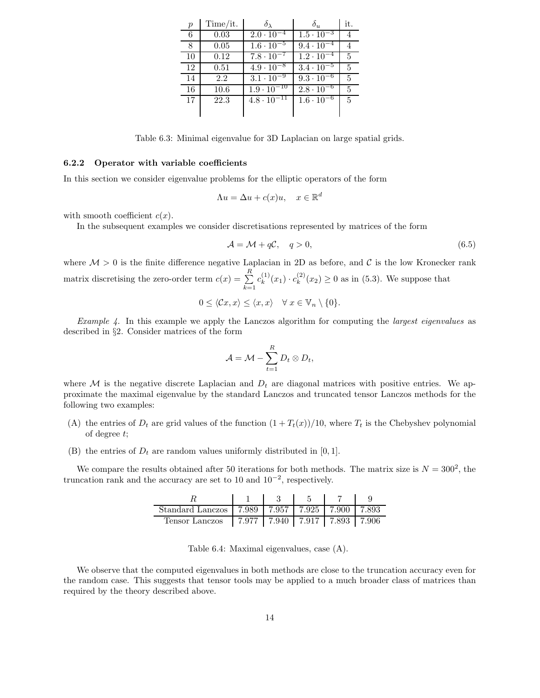| $\boldsymbol{p}$ | Time/it. | $\delta_{\lambda}$             | $\delta_{u}$                   | it.            |
|------------------|----------|--------------------------------|--------------------------------|----------------|
| 6                | 0.03     | $2.0 \cdot 10^{-4}$            | $1.5 \cdot 10^{-3}$            |                |
| 8                | 0.05     | $1.6 \cdot \overline{10^{-5}}$ | $9.4 \cdot 10^{-4}$            |                |
| 10               | 0.12     | $7.8 \cdot 10^{-7}$            | $\overline{1.2 \cdot 10^{-4}}$ | 5              |
| 12               | 0.51     | $4.9 \cdot 10^{-8}$            | $3.4 \cdot 10^{-5}$            | 5              |
| 14               | 2.2      | $3.1 \cdot 10^{-9}$            | $9.3 \cdot 10^{-6}$            | 5              |
| 16               | 10.6     | $1.9 \cdot 10^{-10}$           | $2.8 \cdot 10^{-6}$            | 5              |
| 17               | 22.3     | $4.8 \cdot 10^{-11}$           | $\overline{1.6 \cdot 10^{-6}}$ | $\overline{5}$ |
|                  |          |                                |                                |                |

Table 6.3: Minimal eigenvalue for 3D Laplacian on large spatial grids.

#### 6.2.2 Operator with variable coefficients

In this section we consider eigenvalue problems for the elliptic operators of the form

$$
\Lambda u = \Delta u + c(x)u, \quad x \in \mathbb{R}^d
$$

with smooth coefficient  $c(x)$ .

In the subsequent examples we consider discretisations represented by matrices of the form

$$
\mathcal{A} = \mathcal{M} + q\mathcal{C}, \quad q > 0,\tag{6.5}
$$

where  $M > 0$  is the finite difference negative Laplacian in 2D as before, and C is the low Kronecker rank matrix discretising the zero-order term  $c(x) = \sum_{n=1}^{R}$  $k=1$  $c_k^{(1)}$  $k^{(1)}(x_1) \cdot c_k^{(2)}$  $\binom{1}{k}(x_2) \geq 0$  as in (5.3). We suppose that

$$
0 \leq \langle \mathcal{C}x, x \rangle \leq \langle x, x \rangle \quad \forall \ x \in \mathbb{V}_n \setminus \{0\}.
$$

*Example 4.* In this example we apply the Lanczos algorithm for computing the *largest eigenvalues* as described in §2. Consider matrices of the form

$$
\mathcal{A} = \mathcal{M} - \sum_{t=1}^R D_t \otimes D_t,
$$

where M is the negative discrete Laplacian and  $D_t$  are diagonal matrices with positive entries. We approximate the maximal eigenvalue by the standard Lanczos and truncated tensor Lanczos methods for the following two examples:

- (A) the entries of  $D_t$  are grid values of the function  $(1 + T_t(x))/10$ , where  $T_t$  is the Chebyshev polynomial of degree t;
- (B) the entries of  $D_t$  are random values uniformly distributed in [0, 1].

We compare the results obtained after 50 iterations for both methods. The matrix size is  $N = 300^2$ , the truncation rank and the accuracy are set to 10 and  $10^{-2}$ , respectively.

| Standard Lanczos   7.989   7.957   7.925   7.900   7.893 |                                       |  |  |
|----------------------------------------------------------|---------------------------------------|--|--|
| Tensor Lanczos                                           | 7.977   7.940   7.917   7.893   7.906 |  |  |

Table 6.4: Maximal eigenvalues, case (A).

We observe that the computed eigenvalues in both methods are close to the truncation accuracy even for the random case. This suggests that tensor tools may be applied to a much broader class of matrices than required by the theory described above.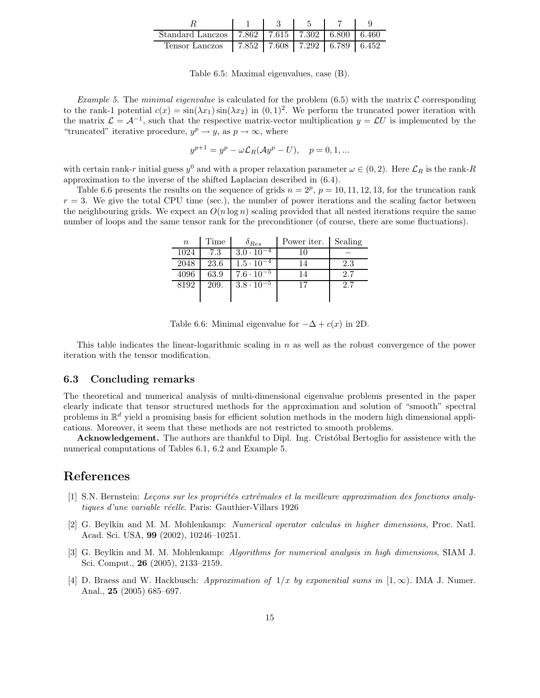| Standard Lanczos   7.862   7.615   7.302   6.800   6.460 |                                       |  |  |
|----------------------------------------------------------|---------------------------------------|--|--|
| Tensor Lanczos                                           | 7.852   7.608   7.292   6.789   6.452 |  |  |

Table 6.5: Maximal eigenvalues, case (B).

*Example 5.* The *minimal eigenvalue* is calculated for the problem  $(6.5)$  with the matrix C corresponding to the rank-1 potential  $c(x) = \sin(\lambda x_1) \sin(\lambda x_2)$  in  $(0, 1)^2$ . We perform the truncated power iteration with the matrix  $\mathcal{L} = \mathcal{A}^{-1}$ , such that the respective matrix-vector multiplication  $y = \mathcal{L}U$  is implemented by the "truncated" iterative procedure,  $y^p \rightarrow y$ , as  $p \rightarrow \infty$ , where

$$
y^{p+1} = y^p - \omega \mathcal{L}_R(\mathcal{A}y^p - U), \quad p = 0, 1, \dots
$$

with certain rank-r initial guess  $y^0$  and with a proper relaxation parameter  $\omega \in (0, 2)$ . Here  $\mathcal{L}_R$  is the rank-R approximation to the inverse of the shifted Laplacian described in (6.4).

Table 6.6 presents the results on the sequence of grids  $n = 2^p$ ,  $p = 10, 11, 12, 13$ , for the truncation rank  $r = 3$ . We give the total CPU time (sec.), the number of power iterations and the scaling factor between the neighbouring grids. We expect an  $O(n \log n)$  scaling provided that all nested iterations require the same number of loops and the same tensor rank for the preconditioner (of course, there are some fluctuations).

| $\boldsymbol{n}$ | Time | $\delta_{Res}$      | Power iter. | Scaling |
|------------------|------|---------------------|-------------|---------|
| 1024             | 7.3  | $3.0 \cdot 10^{-4}$ | 10          |         |
| 2048             | 23.6 | $1.5 \cdot 10^{-4}$ | 14          | 2.3     |
| 4096             | 63.9 | $7.6 \cdot 10^{-5}$ | 14          | 2.7     |
| 8192             | 209. | $3.8 \cdot 10^{-5}$ | 17          | 2.7     |
|                  |      |                     |             |         |

Table 6.6: Minimal eigenvalue for  $-\Delta + c(x)$  in 2D.

This table indicates the linear-logarithmic scaling in  $n$  as well as the robust convergence of the power iteration with the tensor modification.

#### 6.3 Concluding remarks

The theoretical and numerical analysis of multi-dimensional eigenvalue problems presented in the paper clearly indicate that tensor structured methods for the approximation and solution of "smooth" spectral problems in  $\mathbb{R}^d$  yield a promising basis for efficient solution methods in the modern high dimensional applications. Moreover, it seem that these methods are not restricted to smooth problems.

**Acknowledgement.** The authors are thankful to Dipl. Ing. Cristobal Bertoglio for assistence with the numerical computations of Tables 6.1, 6.2 and Example 5.

# References

- [1] S.N. Bernstein: Leçons sur les propriétés extrémales et la meilleure approximation des fonctions analytiques d'une variable réelle. Paris: Gauthier-Villars 1926
- [2] G. Beylkin and M. M. Mohlenkamp: Numerical operator calculus in higher dimensions, Proc. Natl. Acad. Sci. USA, 99 (2002), 10246–10251.
- [3] G. Beylkin and M. M. Mohlenkamp: Algorithms for numerical analysis in high dimensions, SIAM J. Sci. Comput., 26 (2005), 2133–2159.
- [4] D. Braess and W. Hackbusch: Approximation of  $1/x$  by exponential sums in  $[1,\infty)$ . IMA J. Numer. Anal., 25 (2005) 685–697.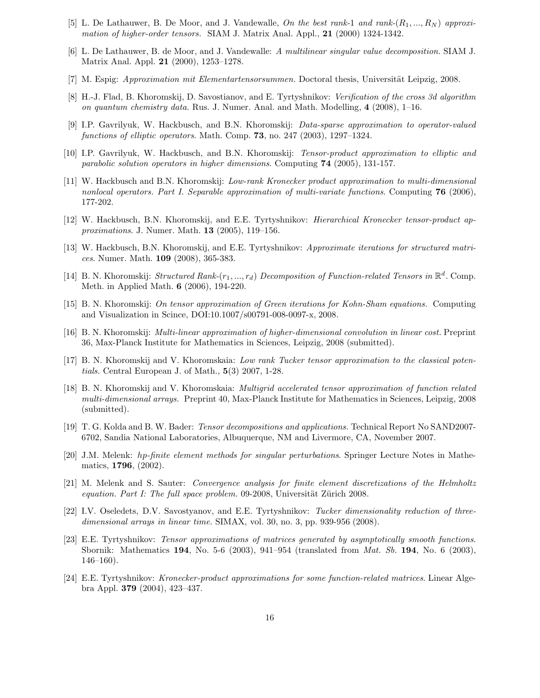- [5] L. De Lathauwer, B. De Moor, and J. Vandewalle, On the best rank-1 and rank- $(R_1, ..., R_N)$  approximation of higher-order tensors. SIAM J. Matrix Anal. Appl., 21 (2000) 1324-1342.
- [6] L. De Lathauwer, B. de Moor, and J. Vandewalle: A multilinear singular value decomposition. SIAM J. Matrix Anal. Appl. 21 (2000), 1253–1278.
- [7] M. Espig: *Approximation mit Elementartensorsummen*. Doctoral thesis, Universität Leipzig, 2008.
- [8] H.-J. Flad, B. Khoromskij, D. Savostianov, and E. Tyrtyshnikov: Verification of the cross 3d algorithm on quantum chemistry data. Rus. J. Numer. Anal. and Math. Modelling, 4 (2008), 1–16.
- [9] I.P. Gavrilyuk, W. Hackbusch, and B.N. Khoromskij: Data-sparse approximation to operator-valued functions of elliptic operators. Math. Comp. 73, no. 247 (2003), 1297-1324.
- [10] I.P. Gavrilyuk, W. Hackbusch, and B.N. Khoromskij: Tensor-product approximation to elliptic and parabolic solution operators in higher dimensions. Computing 74 (2005), 131-157.
- [11] W. Hackbusch and B.N. Khoromskij: Low-rank Kronecker product approximation to multi-dimensional nonlocal operators. Part I. Separable approximation of multi-variate functions. Computing  $76$  (2006), 177-202.
- [12] W. Hackbusch, B.N. Khoromskij, and E.E. Tyrtyshnikov: Hierarchical Kronecker tensor-product approximations. J. Numer. Math. 13 (2005), 119–156.
- [13] W. Hackbusch, B.N. Khoromskij, and E.E. Tyrtyshnikov: Approximate iterations for structured matrices. Numer. Math. 109 (2008), 365-383.
- [14] B. N. Khoromskij: Structured Rank- $(r_1, ..., r_d)$  Decomposition of Function-related Tensors in  $\mathbb{R}^d$ . Comp. Meth. in Applied Math. 6 (2006), 194-220.
- [15] B. N. Khoromskij: On tensor approximation of Green iterations for Kohn-Sham equations. Computing and Visualization in Scince, DOI:10.1007/s00791-008-0097-x, 2008.
- [16] B. N. Khoromskij: Multi-linear approximation of higher-dimensional convolution in linear cost. Preprint 36, Max-Planck Institute for Mathematics in Sciences, Leipzig, 2008 (submitted).
- [17] B. N. Khoromskij and V. Khoromskaia: Low rank Tucker tensor approximation to the classical potentials. Central European J. of Math., 5(3) 2007, 1-28.
- [18] B. N. Khoromskij and V. Khoromskaia: Multigrid accelerated tensor approximation of function related multi-dimensional arrays. Preprint 40, Max-Planck Institute for Mathematics in Sciences, Leipzig, 2008 (submitted).
- [19] T. G. Kolda and B. W. Bader: Tensor decompositions and applications. Technical Report No SAND2007- 6702, Sandia National Laboratories, Albuquerque, NM and Livermore, CA, November 2007.
- [20] J.M. Melenk: hp-finite element methods for singular perturbations. Springer Lecture Notes in Mathematics, 1796, (2002).
- [21] M. Melenk and S. Sauter: Convergence analysis for finite element discretizations of the Helmholtz equation. Part I: The full space problem. 09-2008, Universität Zürich 2008.
- [22] I.V. Oseledets, D.V. Savostyanov, and E.E. Tyrtyshnikov: Tucker dimensionality reduction of threedimensional arrays in linear time. SIMAX, vol. 30, no. 3, pp. 939-956 (2008).
- [23] E.E. Tyrtyshnikov: Tensor approximations of matrices generated by asymptotically smooth functions. Sbornik: Mathematics 194, No. 5-6 (2003), 941–954 (translated from Mat. Sb. 194, No. 6 (2003), 146–160).
- [24] E.E. Tyrtyshnikov: Kronecker-product approximations for some function-related matrices. Linear Algebra Appl. 379 (2004), 423–437.